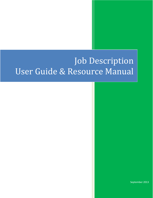# Job Description User Guide & Resource Manual

September 2013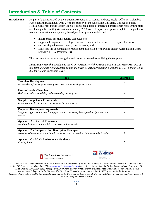#### Introduction & Table of Contents

**Introduction** As part of a grant funded by the National Association of County and City Health Officials, Columbus Public Health (Columbus, Ohio), with the support of the Ohio State University College of Public Health, Center for Public Health Practice, convened a team of interested practitioners representing state and local public health jurisdictions in January 2013 to create a job description template. The goal was to create a functional competency-based job description template that:

- incorporates position-specific competencies;
- supports the agency's overall performance review and workforce development processes;
- can be adapted to meet agency specific needs; and
- addresses the documentation requirement association with Public Health Accreditation Board Standard 11.1.5. (Version 1.0)

This document serves as a user guide and resource manual for utilizing the template.

*Important Note: This template is based on Version 1.0 of the PHAB Standards and Measures. Use of this template does not guarantee compliance with PHAB Accreditation Standard 11.1.5. Version 1.5 is due for release in January 2014.* 

| <b>Topic</b>                                                                                                                                      | <b>See Page</b> |
|---------------------------------------------------------------------------------------------------------------------------------------------------|-----------------|
| <b>Template Development</b><br>An overview of the template development process and development team                                               |                 |
| <b>How to Use this Template</b><br>Basic instructions for editing and customizing the template                                                    |                 |
| <b>Sample Competency Framework</b><br>Considerations for the use of competencies in your agency                                                   | 3               |
| <b>Proposed Development Approach</b><br>Suggested approach for establishing functional, competency based job descriptions in your<br>agency       |                 |
| <b>Appendix A - General Resources</b><br>Additional job description related resources and information                                             | 5               |
| <b>Appendix B - Completed Job Description Example</b><br>A completed example of a functional, competency-based job description using the template | 6               |
| <b>Appendix C – Work Environment Guidance</b><br>Coming Soon!                                                                                     |                 |





*Development of this template was made possible by the Human Resources Office and the Planning and Accreditation Division of Columbus Public Health, 240 Parsons, Ave., Columbus, Ohio [\(www.publicheath.columbus.gov\)](http://www.publicheath.columbus.gov/) through grant funds from the National Association of County and City Health Officials (NACCHO) Large Metropolitan Area Grant. Support for this project provided by the Ohio Public Health Training Center located in the College of Public Health at The Ohio State University; grant number UB6HP20203, from the Health Resources and Services Administration, DHHS, Public Health Training Center Program. Contents are solely the responsibility of the authors and do not necessarily represent the official views of HRSA.*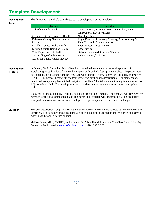### Template Development

| <b>Development</b><br>Team           | The following individuals contributed to the development of the template:                                                                                                                                                                                                                                                                                                                                                                                                                                                                                                                                                                                                                                                                                                                                                                                                                                                            |                                                   |  |
|--------------------------------------|--------------------------------------------------------------------------------------------------------------------------------------------------------------------------------------------------------------------------------------------------------------------------------------------------------------------------------------------------------------------------------------------------------------------------------------------------------------------------------------------------------------------------------------------------------------------------------------------------------------------------------------------------------------------------------------------------------------------------------------------------------------------------------------------------------------------------------------------------------------------------------------------------------------------------------------|---------------------------------------------------|--|
|                                      | <b>Agency</b>                                                                                                                                                                                                                                                                                                                                                                                                                                                                                                                                                                                                                                                                                                                                                                                                                                                                                                                        | <b>Individuals</b>                                |  |
|                                      | <b>Columbus Public Health</b>                                                                                                                                                                                                                                                                                                                                                                                                                                                                                                                                                                                                                                                                                                                                                                                                                                                                                                        | Laurie Dietsch, Kristen Miele, Tracy Poling, Beth |  |
|                                      |                                                                                                                                                                                                                                                                                                                                                                                                                                                                                                                                                                                                                                                                                                                                                                                                                                                                                                                                      | Ransopher & Kevin Williams                        |  |
|                                      | Cuyahoga County Board of Health                                                                                                                                                                                                                                                                                                                                                                                                                                                                                                                                                                                                                                                                                                                                                                                                                                                                                                      | Najeebah Shine                                    |  |
|                                      | Delaware County General Health                                                                                                                                                                                                                                                                                                                                                                                                                                                                                                                                                                                                                                                                                                                                                                                                                                                                                                       | Angie Breckler, Rosemary Chaudry, Amy Whitney &   |  |
|                                      | District                                                                                                                                                                                                                                                                                                                                                                                                                                                                                                                                                                                                                                                                                                                                                                                                                                                                                                                             | Temi Daramola (student intern)                    |  |
|                                      | Franklin County Public Health                                                                                                                                                                                                                                                                                                                                                                                                                                                                                                                                                                                                                                                                                                                                                                                                                                                                                                        | Todd Hansen & Beth Pierson                        |  |
|                                      | Licking County Board of Health                                                                                                                                                                                                                                                                                                                                                                                                                                                                                                                                                                                                                                                                                                                                                                                                                                                                                                       | Chad Brown                                        |  |
|                                      | Ohio Department of Health                                                                                                                                                                                                                                                                                                                                                                                                                                                                                                                                                                                                                                                                                                                                                                                                                                                                                                            | Debora Branham & Cherene Watkins                  |  |
|                                      | OSU College of Public Health,                                                                                                                                                                                                                                                                                                                                                                                                                                                                                                                                                                                                                                                                                                                                                                                                                                                                                                        | Melissa Sever (facilitator)                       |  |
|                                      | Center for Public Health Practice                                                                                                                                                                                                                                                                                                                                                                                                                                                                                                                                                                                                                                                                                                                                                                                                                                                                                                    |                                                   |  |
|                                      |                                                                                                                                                                                                                                                                                                                                                                                                                                                                                                                                                                                                                                                                                                                                                                                                                                                                                                                                      |                                                   |  |
| <b>Development</b><br><b>Process</b> | In January 2013, Columbus Public Health convened a development team for the purpose of<br>establishing an outline for a functional, competency-based job description template. The process was<br>facilitated by a consultant from the OSU College of Public Health, Center for Public Health Practice<br>(CPHP). The process began with the team reviewing existing job descriptions. Key elements of a<br>functional, competency-based job description, as well as PHAB documentation requirements (Version<br>1.0), were identified. The development team translated these key elements into a job description<br>outline.<br>Using the outline as a guide, CPHP drafted a job description template. The template was reviewed by<br>members of the development team and comments and feedback were incorporated. This associated<br>user guide and resource manual was developed to support agencies in the use of the template. |                                                   |  |
| <b>Questions</b>                     | materials to be added, please contact:                                                                                                                                                                                                                                                                                                                                                                                                                                                                                                                                                                                                                                                                                                                                                                                                                                                                                               |                                                   |  |
|                                      | This Job Description Template User Guide & Resource Manual will be updated as new resources are<br>identified. For questions about this template, and/or suggestions for additional resources and sample<br>Melissa Sever, MPH, MCHES, in the Center for Public Health Practice at The Ohio State University<br>College of Public Health; msever@cph.osu.edu or (614) 292-2047.                                                                                                                                                                                                                                                                                                                                                                                                                                                                                                                                                      |                                                   |  |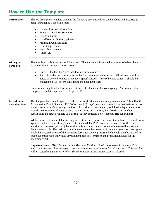#### How to Use the Template

**Introduction** The job description template contains the following sections, which can be edited and modified to meet your agency's specific needs: • General Position Information • Functional Position Summary • Essential Duties • Non-Essential Duties (optional) • Minimum Qualifications • Key Competencies • Work Environment • Approvals **Editing the Template** The template is a Microsoft Word document. The template is formatted as a series of tables that can be edited. Document text is in two colors: • **Black:** Standard language that does not need modified. • **Red:** Provides instructions / examples for completing each section. All red text should be edited or deleted to meet an agency's specific needs. If the red text is edited, it should be changed to black before considering the document final. Sections also may be added to further customize the document for your agency. An example of a completed template is provided in Appendix B. **Accreditation Considerations** This template has been designed to address one of the documentation requirements for Public Health Accreditation Board Standard 11.1.5 (Version 1.0)*; Implement and adhere to the health departments human resources policies and procedures.* According to the standard, each health department must provide two examples of position descriptions, or job descriptions, and also demonstrate how the descriptions are made available to staff (e.g. agency intranet, policy manual, HR department). While the current standard does not require that job descriptions are competency-based, feedback from agencies that have gone through site visits indicated that PHAB reviewers may ask for this. In addition, a competency-based job description is an important component of the overall workforce development cycle. The performance of the competencies presented in an employee's job description would be assessed as part of the annual performance review process which would then be utilized to shape the employee's individual development plan (performance and professional goals for the upcoming year). **Important Note:** *PHAB Standards and Measures Version 1.5 will be released in January 2014*

*which will likely result in changes to the documentation requirements for this standard. This template will be revised and updated to reflect the new standards and measures once released.*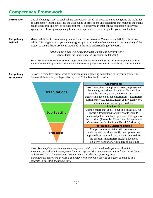#### Competency Framework

| Introduction                   | One challenging aspect of establishing competency-based job descriptions is navigating the multitude<br>of competency sets that exist for the wide range of professions and disciplines that make up the public<br>health workforce and how to document them. To assist you in establishing competencies for your<br>agency, the following competency framework is provided as an example for your consideration. |                                                                                                                                                                                                                                                                                                                                |  |  |
|--------------------------------|-------------------------------------------------------------------------------------------------------------------------------------------------------------------------------------------------------------------------------------------------------------------------------------------------------------------------------------------------------------------------------------------------------------------|--------------------------------------------------------------------------------------------------------------------------------------------------------------------------------------------------------------------------------------------------------------------------------------------------------------------------------|--|--|
| Competency<br><b>Defined</b>   | Many definitions for competency can be found in the literature. One common definition is shown<br>below. It is suggested that your agency agree upon a definition of competency at the beginning of the<br>project to ensure that everyone is grounded in the same understanding of the term.                                                                                                                     |                                                                                                                                                                                                                                                                                                                                |  |  |
|                                | "Applied skills and knowledge that enable people to perform work"<br>(Adapted from the Competency to Curriculum Toolkit, 2008)                                                                                                                                                                                                                                                                                    |                                                                                                                                                                                                                                                                                                                                |  |  |
|                                | Note: The template development team suggested adding the word "abilities" to the above definition, to better<br>align with terminology found in the literature that commonly references KSA's - knowledge, skills, & abilities.                                                                                                                                                                                   |                                                                                                                                                                                                                                                                                                                                |  |  |
| Competency<br><b>Framework</b> | Below is a three-level framework to consider when organizing competencies for your agency. The<br>framework is adapted, with permission, from Columbus Public Health.                                                                                                                                                                                                                                             |                                                                                                                                                                                                                                                                                                                                |  |  |
|                                |                                                                                                                                                                                                                                                                                                                                                                                                                   |                                                                                                                                                                                                                                                                                                                                |  |  |
|                                |                                                                                                                                                                                                                                                                                                                                                                                                                   |                                                                                                                                                                                                                                                                                                                                |  |  |
|                                | Organizational                                                                                                                                                                                                                                                                                                                                                                                                    | Organizational<br>Broad competencies applicable to all employees of<br>the agency, regardless of position. Should align<br>with the mission, vision, and or values of the<br>agency; include on all job descriptions. (Examples:<br>customer service, quality, health equity, teamwork,<br>communication, and/or preparedness) |  |  |
|                                |                                                                                                                                                                                                                                                                                                                                                                                                                   | <b>Job Specific</b>                                                                                                                                                                                                                                                                                                            |  |  |
|                                | <b>Job Specific</b>                                                                                                                                                                                                                                                                                                                                                                                               | Competencies that apply to public health staff. Job<br>specific descriptions for staff should include<br>functional public health competencies that apply to<br>the position. (Example: Council on Linkages Core<br>Competencies for the Public Health Workforce)                                                              |  |  |
|                                |                                                                                                                                                                                                                                                                                                                                                                                                                   | <b>Professional / Discipline Specific</b>                                                                                                                                                                                                                                                                                      |  |  |
|                                | Professional                                                                                                                                                                                                                                                                                                                                                                                                      | Competencies associated with professional<br>positions and position-specific descriptions that<br>apply to licensures and certifications required for<br>the position. (Examples: Health Education,                                                                                                                            |  |  |

**Note:** *The template development team suggested adding a 4th level to the framework which encompasses additional management/supervisory/executive competencies not included in the Council on Linkages Core Competencies. Agencies may consider incorporating these management/supervisory/executive competencies into the job-specific category, or include as a separate level within the framework.*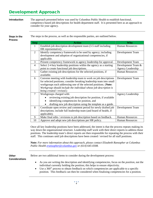#### Development Approach

**Introduction** The approach presented below was used by Columbus Public Health to establish functional, competency-based job descriptions for health department staff. It is presented here as an approach to consider for your agency.

**Steps in the** 

The steps in the process, as well as the responsible parties, are outlined below.

#### **Process**

| <b>Step</b>    | <b>Action</b>                                                            | <b>Who</b>             |
|----------------|--------------------------------------------------------------------------|------------------------|
| 1              | Establish job description development team (3-5 staff including          | <b>Human Resources</b> |
|                | HR representative).                                                      |                        |
| 2              | Identify competency framework to be used by agency; including            | Development Team       |
|                | development and adoption of organizational competencies, if              |                        |
|                | applicable.                                                              |                        |
| 3              | Present competency framework to agency leadership for approval.          | Development Team       |
| $\overline{4}$ | Select 2-4 key leadership positions within the agency as a starting      | Development Team &     |
|                | point to create functional job descriptions.                             | Agency Leadership      |
| $\mathfrak{S}$ | Gather existing job descriptions for the selected positions, if          | <b>Human Resources</b> |
|                | available.                                                               |                        |
| 6              | Convene meeting with leadership team to work on job descriptions         | Development Team       |
|                | for selected positions; consider breaking leadership team into small     |                        |
|                | workgroups each addressing one of the selected positions. (Note:         |                        |
|                | Workgroup should include the individual whose job description is         |                        |
|                | being created / revised.)                                                |                        |
| $\overline{7}$ | Workgroups charged with:                                                 | Agency Leadership      |
|                | reviewing existing job description for position, if available            |                        |
|                | identifying competencies for position, and<br>$\bullet$                  |                        |
|                | drafting new job description using the template as a guide.<br>$\bullet$ |                        |
| 8              | Coordinate open review and comment period for newly drafted job          | Development Team       |
|                | descriptions; include full leadership team (and board of health, if      |                        |
|                | applicable).                                                             |                        |
| 9              | Make final edits / revisions to job description based on feedback.       | <b>Human Resources</b> |
| 10             | Approve and adopt new job descriptions per HR policy.                    | <b>Human Resources</b> |

Once all key leadership positions have been addressed, the intent is that the process repeats making its way down the organizational structure. Leadership staff work with their direct reports to address those positions. The leadership team's direct reports are then responsible for repeating the process with their staff. This continues until job descriptions have been created / revised for all staff positions.

**Note:** *For more information about this approach, please contact Elizabeth Ransopher at Columbus Public Health [eransopher@columbus.gov](mailto:eransopher@columbus.gov) or (614) 645-0308.*

**Other Considerations** Below are two additional items to consider during the development process:

- As you are writing the description and identifying competencies, focus on the *position*, not the individual currently holding the position; this helps to ensure objectivity.
- Use a 360° process to obtain feedback on which competencies are applicable to a specific position. This feedback can then be considered when finalizing competencies for a position.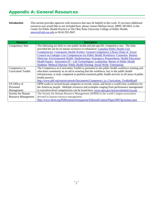#### Appendix A: General Resources

**Introduction** This section provides agencies with resources that may be helpful in this work. If you have additional resources you would like to see included here, please contact Melissa Sever, MPH, MCHES, in the Center for Public Health Practice at The Ohio State University College of Public Health; [msever@cph.osu.edu](mailto:msever@cph.osu.edu) or (614) 292-2047.

| <b>Resource</b>            | <b>Description</b>                                                                                    |  |  |
|----------------------------|-------------------------------------------------------------------------------------------------------|--|--|
| <b>Competency Sets</b>     | The following are links to core public health and job-specific competency sets. The links             |  |  |
|                            | provided her are by no means exclusive or exhaustive: Canadian Public Health Core                     |  |  |
|                            | Competencies; Community Health Worker; General Competency Library (State of Iowa);                    |  |  |
|                            | Council on Linkages Core Competencies for Public Health Workforce; Counselor; Dentist;                |  |  |
|                            | Dietician; Environmental Health ; Epidemiology; Emergency Preparedness; Health Education;             |  |  |
|                            | Health Equity; Informatics/IT; Lab Technologists; Leadership; Master of Public Health                 |  |  |
|                            | Students; Medical Director; Public Health Nursing, Social Work; Veterinarian                          |  |  |
| Competency to              | The Competency-to-Curriculum Toolkit is presented to the public health workforce training and         |  |  |
| Curriculum Toolkit         | education community as an aid in assuring that the workforce, key to the public health                |  |  |
|                            | infrastructure, is truly competent to perform essential public health services in all areas of public |  |  |
|                            | health practice.                                                                                      |  |  |
|                            | http://www.phf.org/resourcestools/Documents/Competency_to_Curriculum_Toolkit08.pdf                    |  |  |
| US Office of               | OPM works in several broad categories to recruit, retain, and honor a world-class workforce for       |  |  |
| Personnel                  | the American people. Multiple resources and examples ranging from performance management              |  |  |
| Management                 | to executive-level competencies can be found here. www.opm.gov/ses/recruitment/ecq.asp                |  |  |
| Society for Human          | The Society for Human Resource Management (SHRM) is the world's largest association                   |  |  |
| <b>Resource Management</b> | devoted to human resource management.                                                                 |  |  |
|                            | http://www.shrm.org/Publications/hrmagazine/EditorialContent/Pages/0607grossman.aspx                  |  |  |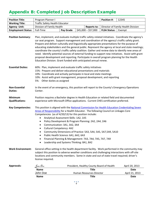#### Appendix B: Completed Job Description Example

| <b>Position Title:</b>    | Program Planner I                        |                  |  |                     | <b>Position #:</b>                 | 12345  |
|---------------------------|------------------------------------------|------------------|--|---------------------|------------------------------------|--------|
| <b>Working Title:</b>     | Traffic Safety Health Educator           |                  |  |                     |                                    |        |
| <b>Agency Unit:</b>       | Division of Family Health<br>Reports to: |                  |  |                     | Director of Family Health Division |        |
| <b>Employment Status:</b> | Full-Time                                | <b>Pav Grade</b> |  | $$45,000 - $57,000$ | <b>FLSA Status:</b>                | Exempt |

**Position Summary:** Plan, implement, and evaluate multiple traffic safety-related initiatives. Coordinate the agency's car seat program. Support management and coordination of the agency's traffic safety grant. Prepare and deliver culturally and linguistically appropriate presentations for the purpose of educating stakeholders and the general public. Represent the agency at local and state meetings; coordinate the county's traffic safety coalition. Gather and review data to identify new areas of need. Identify potential sources of external funding to support new initiatives. Assist with grant proposal development and reporting. Participate in overall program planning for the Health Education Division. Grant funded with anticipated annual renew.

- **Essential Duties:** 60%: Plan, implement and evaluate traffic safety initiatives 15%: Prepare and deliver educational presentations and materials 10%: Coordinate and actively participate in local and state meetings 10%: Assist with grant management, proposal development, and reporting 5%: Other duties as assigned **Non-Essential Duties:**  In the event of an emergency, this position will report to the County's Emergency Operations Center. **Minimum Qualifications:** Position requires a Bachelor degree in Health Education or related field and documented experience with Microsoft Office applications. Current CHES certification preferred. **Key Competencies:** This position is aligned with th[e National Commission for Health Education Credentialing Seven](http://www.nchec.org/credentialing/responsibilities/)  [Areas of Responsibility](http://www.nchec.org/credentialing/responsibilities/) for a Health Educator. The following Council on Linkages Core Competencies (as of 4/20/13) for this position include: • Analytical Assessment Skills: 1A2, 1A5 • Policy Development & Program Planning: 2A2, 2A4, 2A6 • Communication: 3A1, 3A2, 3A4 • Cultural Competency: 4A2
	- Community Dimensions of Practice: 5A3, 5A4, 5A5, 5A7,5A9, 5A10
		- Public Health Science: 6A1, 6A2, 6A3
		- Financial Planning & Management: 7A3, 7A4, 7A5, 7A7, 7A9
		- Leadership and Systems Thinking: 8A1, 8A2
- **Work Environment:** General office setting in the health department facility. Work performed in the community may subject this position to adverse weather conditions and challenging interactions with off-site locations and community members. Some in state and out of state travel required; driver's license required.

| Jane Doe<br><b>Approvals:</b> |             | President, Healthy County Board of Health | April 20, 2013 |  |
|-------------------------------|-------------|-------------------------------------------|----------------|--|
|                               | <b>Name</b> | Title                                     | Date           |  |
|                               | John Doe    | Human Resources Director                  | April 21, 2013 |  |
|                               | <b>Name</b> | Title                                     | Date           |  |